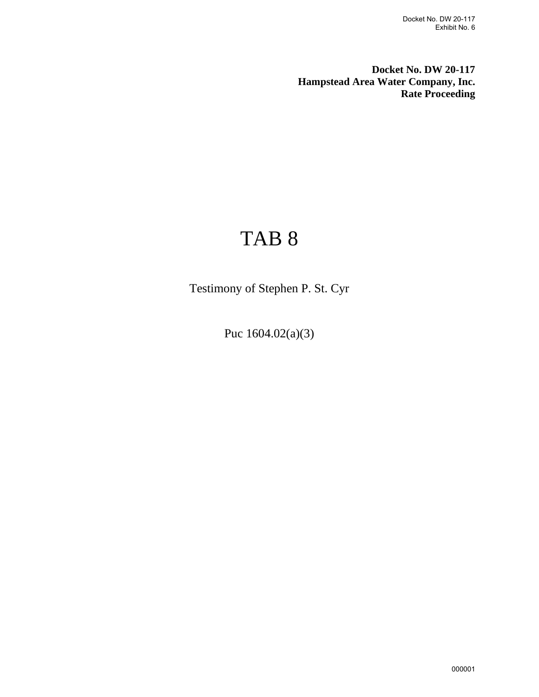**Docket No. DW 20-117 Hampstead Area Water Company, Inc. Rate Proceeding**

## TAB 8

Testimony of Stephen P. St. Cyr

Puc 1604.02(a)(3)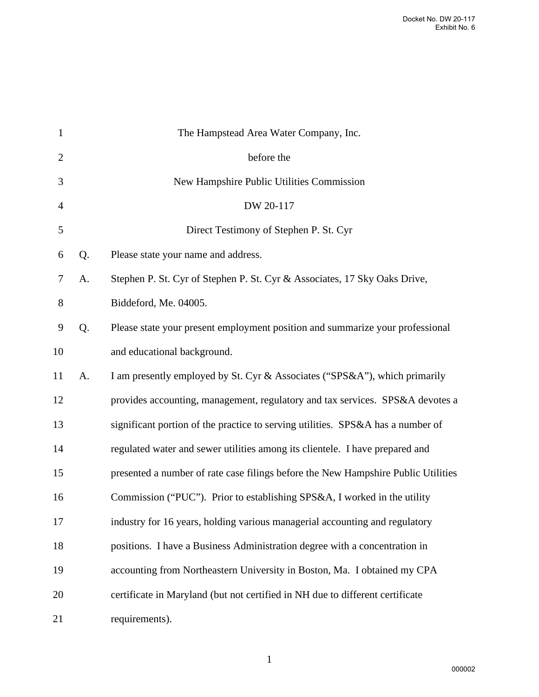| $\mathbf{1}$   |    | The Hampstead Area Water Company, Inc.                                            |
|----------------|----|-----------------------------------------------------------------------------------|
| $\overline{2}$ |    | before the                                                                        |
| 3              |    | New Hampshire Public Utilities Commission                                         |
| $\overline{4}$ |    | DW 20-117                                                                         |
| 5              |    | Direct Testimony of Stephen P. St. Cyr                                            |
| 6              | Q. | Please state your name and address.                                               |
| 7              | A. | Stephen P. St. Cyr of Stephen P. St. Cyr & Associates, 17 Sky Oaks Drive,         |
| 8              |    | Biddeford, Me. 04005.                                                             |
| 9              | Q. | Please state your present employment position and summarize your professional     |
| 10             |    | and educational background.                                                       |
| 11             | A. | I am presently employed by St. Cyr & Associates ("SPS&A"), which primarily        |
| 12             |    | provides accounting, management, regulatory and tax services. SPS&A devotes a     |
| 13             |    | significant portion of the practice to serving utilities. SPS&A has a number of   |
| 14             |    | regulated water and sewer utilities among its clientele. I have prepared and      |
| 15             |    | presented a number of rate case filings before the New Hampshire Public Utilities |
| 16             |    | Commission ("PUC"). Prior to establishing SPS&A, I worked in the utility          |
| 17             |    | industry for 16 years, holding various managerial accounting and regulatory       |
| 18             |    | positions. I have a Business Administration degree with a concentration in        |
| 19             |    | accounting from Northeastern University in Boston, Ma. I obtained my CPA          |
| 20             |    | certificate in Maryland (but not certified in NH due to different certificate     |
| 21             |    | requirements).                                                                    |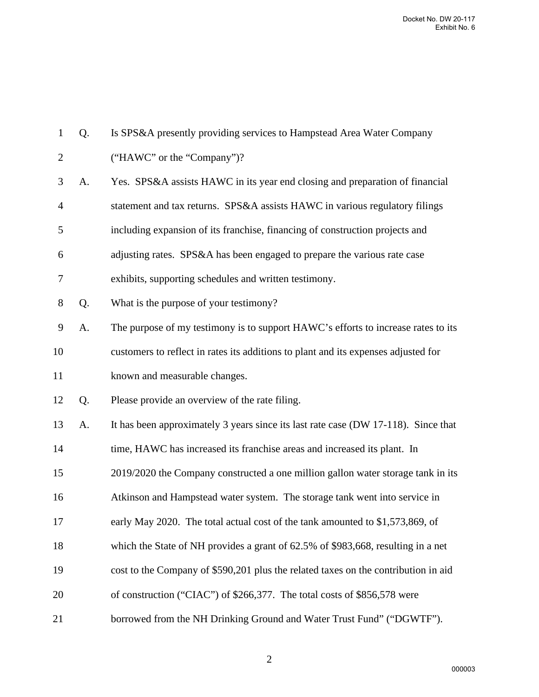| $\mathbf{1}$   | Q. | Is SPS&A presently providing services to Hampstead Area Water Company              |
|----------------|----|------------------------------------------------------------------------------------|
| $\overline{2}$ |    | ("HAWC" or the "Company")?                                                         |
| 3              | A. | Yes. SPS&A assists HAWC in its year end closing and preparation of financial       |
| $\overline{4}$ |    | statement and tax returns. SPS&A assists HAWC in various regulatory filings        |
| 5              |    | including expansion of its franchise, financing of construction projects and       |
| 6              |    | adjusting rates. SPS&A has been engaged to prepare the various rate case           |
| 7              |    | exhibits, supporting schedules and written testimony.                              |
| $8\,$          | Q. | What is the purpose of your testimony?                                             |
| 9              | A. | The purpose of my testimony is to support HAWC's efforts to increase rates to its  |
| 10             |    | customers to reflect in rates its additions to plant and its expenses adjusted for |
| 11             |    | known and measurable changes.                                                      |
| 12             | Q. | Please provide an overview of the rate filing.                                     |
| 13             | A. | It has been approximately 3 years since its last rate case (DW 17-118). Since that |
| 14             |    | time, HAWC has increased its franchise areas and increased its plant. In           |
| 15             |    | 2019/2020 the Company constructed a one million gallon water storage tank in its   |
| 16             |    | Atkinson and Hampstead water system. The storage tank went into service in         |
| 17             |    | early May 2020. The total actual cost of the tank amounted to \$1,573,869, of      |
| 18             |    | which the State of NH provides a grant of 62.5% of \$983,668, resulting in a net   |
| 19             |    | cost to the Company of \$590,201 plus the related taxes on the contribution in aid |
| 20             |    | of construction ("CIAC") of \$266,377. The total costs of \$856,578 were           |
| 21             |    | borrowed from the NH Drinking Ground and Water Trust Fund" ("DGWTF").              |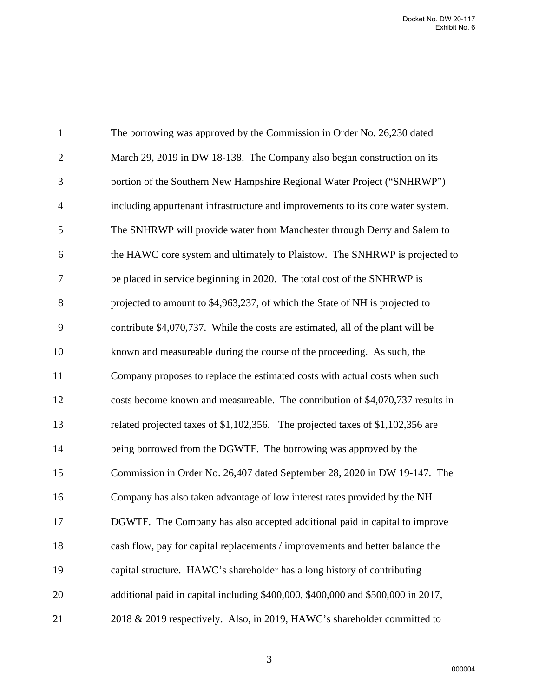| $\mathbf{1}$   | The borrowing was approved by the Commission in Order No. 26,230 dated           |
|----------------|----------------------------------------------------------------------------------|
| $\overline{2}$ | March 29, 2019 in DW 18-138. The Company also began construction on its          |
| 3              | portion of the Southern New Hampshire Regional Water Project ("SNHRWP")          |
| $\overline{4}$ | including appurtenant infrastructure and improvements to its core water system.  |
| 5              | The SNHRWP will provide water from Manchester through Derry and Salem to         |
| 6              | the HAWC core system and ultimately to Plaistow. The SNHRWP is projected to      |
| $\tau$         | be placed in service beginning in 2020. The total cost of the SNHRWP is          |
| 8              | projected to amount to \$4,963,237, of which the State of NH is projected to     |
| $\mathbf{9}$   | contribute \$4,070,737. While the costs are estimated, all of the plant will be  |
| 10             | known and measureable during the course of the proceeding. As such, the          |
| 11             | Company proposes to replace the estimated costs with actual costs when such      |
| 12             | costs become known and measureable. The contribution of \$4,070,737 results in   |
| 13             | related projected taxes of \$1,102,356. The projected taxes of \$1,102,356 are   |
| 14             | being borrowed from the DGWTF. The borrowing was approved by the                 |
| 15             | Commission in Order No. 26,407 dated September 28, 2020 in DW 19-147. The        |
| 16             | Company has also taken advantage of low interest rates provided by the NH        |
| 17             | DGWTF. The Company has also accepted additional paid in capital to improve       |
| 18             | cash flow, pay for capital replacements / improvements and better balance the    |
| 19             | capital structure. HAWC's shareholder has a long history of contributing         |
| 20             | additional paid in capital including \$400,000, \$400,000 and \$500,000 in 2017, |
| 21             | 2018 & 2019 respectively. Also, in 2019, HAWC's shareholder committed to         |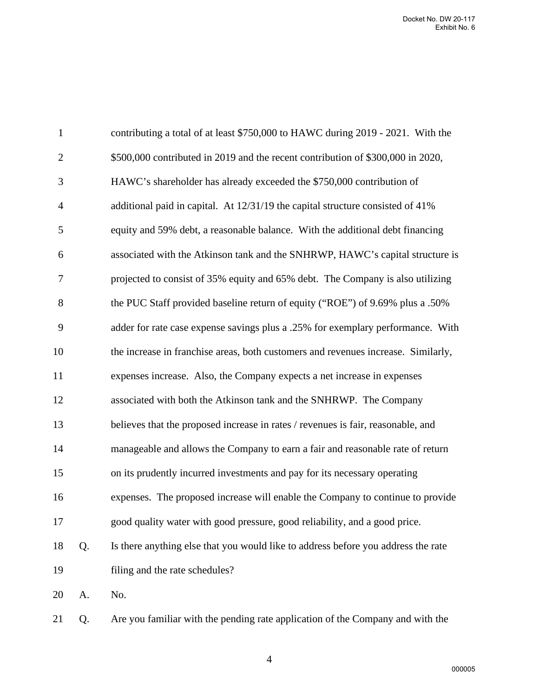| $\mathbf{1}$   |    | contributing a total of at least \$750,000 to HAWC during 2019 - 2021. With the   |
|----------------|----|-----------------------------------------------------------------------------------|
| $\mathfrak{2}$ |    | \$500,000 contributed in 2019 and the recent contribution of \$300,000 in 2020,   |
| 3              |    | HAWC's shareholder has already exceeded the \$750,000 contribution of             |
| $\overline{4}$ |    | additional paid in capital. At 12/31/19 the capital structure consisted of 41%    |
| 5              |    | equity and 59% debt, a reasonable balance. With the additional debt financing     |
| 6              |    | associated with the Atkinson tank and the SNHRWP, HAWC's capital structure is     |
| 7              |    | projected to consist of 35% equity and 65% debt. The Company is also utilizing    |
| 8              |    | the PUC Staff provided baseline return of equity ("ROE") of 9.69% plus a .50%     |
| 9              |    | adder for rate case expense savings plus a .25% for exemplary performance. With   |
| 10             |    | the increase in franchise areas, both customers and revenues increase. Similarly, |
| 11             |    | expenses increase. Also, the Company expects a net increase in expenses           |
| 12             |    | associated with both the Atkinson tank and the SNHRWP. The Company                |
| 13             |    | believes that the proposed increase in rates / revenues is fair, reasonable, and  |
| 14             |    | manageable and allows the Company to earn a fair and reasonable rate of return    |
| 15             |    | on its prudently incurred investments and pay for its necessary operating         |
| 16             |    | expenses. The proposed increase will enable the Company to continue to provide    |
| 17             |    | good quality water with good pressure, good reliability, and a good price.        |
| 18             | Q. | Is there anything else that you would like to address before you address the rate |
| 19             |    | filing and the rate schedules?                                                    |
| 20             | A. | No.                                                                               |
| 21             | Q. | Are you familiar with the pending rate application of the Company and with the    |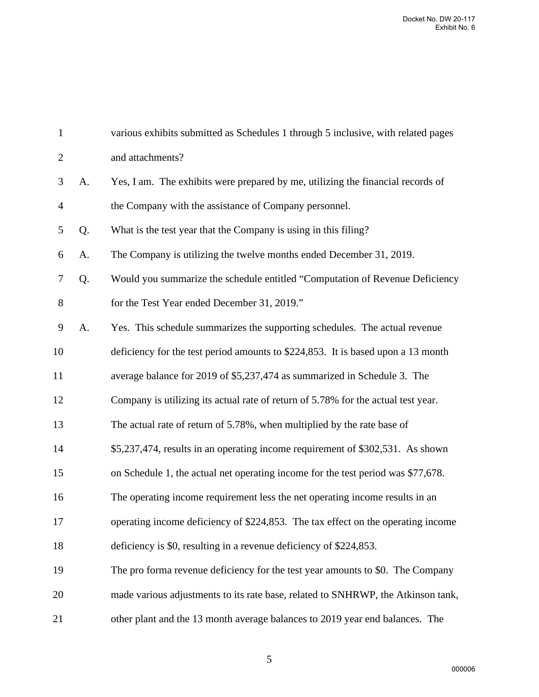| $\mathbf{1}$   |    | various exhibits submitted as Schedules 1 through 5 inclusive, with related pages |
|----------------|----|-----------------------------------------------------------------------------------|
| $\mathbf{2}$   |    | and attachments?                                                                  |
| 3              | A. | Yes, I am. The exhibits were prepared by me, utilizing the financial records of   |
| $\overline{4}$ |    | the Company with the assistance of Company personnel.                             |
| 5              | Q. | What is the test year that the Company is using in this filing?                   |
| 6              | A. | The Company is utilizing the twelve months ended December 31, 2019.               |
| $\tau$         | Q. | Would you summarize the schedule entitled "Computation of Revenue Deficiency      |
| $8\,$          |    | for the Test Year ended December 31, 2019."                                       |
| 9              | A. | Yes. This schedule summarizes the supporting schedules. The actual revenue        |
| 10             |    | deficiency for the test period amounts to \$224,853. It is based upon a 13 month  |
| 11             |    | average balance for 2019 of \$5,237,474 as summarized in Schedule 3. The          |
| 12             |    | Company is utilizing its actual rate of return of 5.78% for the actual test year. |
| 13             |    | The actual rate of return of 5.78%, when multiplied by the rate base of           |
| 14             |    | \$5,237,474, results in an operating income requirement of \$302,531. As shown    |
| 15             |    | on Schedule 1, the actual net operating income for the test period was \$77,678.  |
| 16             |    | The operating income requirement less the net operating income results in an      |
| 17             |    | operating income deficiency of \$224,853. The tax effect on the operating income  |
| 18             |    | deficiency is \$0, resulting in a revenue deficiency of \$224,853.                |
| 19             |    | The pro forma revenue deficiency for the test year amounts to \$0. The Company    |
| 20             |    | made various adjustments to its rate base, related to SNHRWP, the Atkinson tank,  |
| 21             |    | other plant and the 13 month average balances to 2019 year end balances. The      |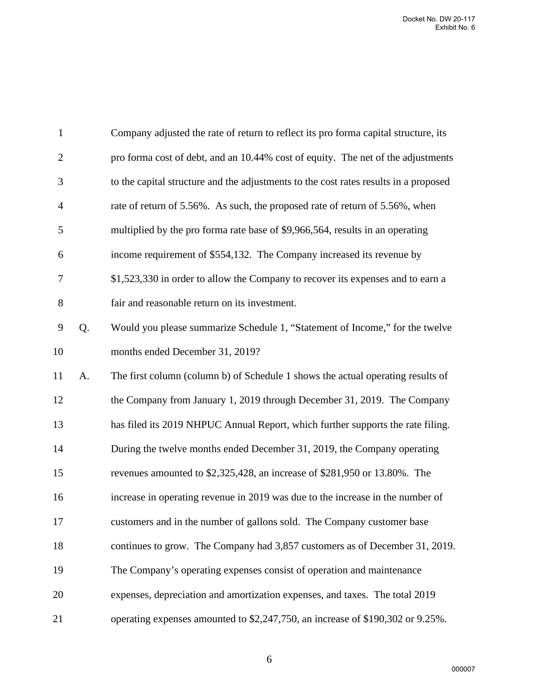| $\mathbf{1}$   |    | Company adjusted the rate of return to reflect its pro forma capital structure, its  |
|----------------|----|--------------------------------------------------------------------------------------|
| $\overline{2}$ |    | pro forma cost of debt, and an 10.44% cost of equity. The net of the adjustments     |
| 3              |    | to the capital structure and the adjustments to the cost rates results in a proposed |
| $\overline{4}$ |    | rate of return of 5.56%. As such, the proposed rate of return of 5.56%, when         |
| 5              |    | multiplied by the pro forma rate base of \$9,966,564, results in an operating        |
| 6              |    | income requirement of \$554,132. The Company increased its revenue by                |
| $\overline{7}$ |    | \$1,523,330 in order to allow the Company to recover its expenses and to earn a      |
| $8\,$          |    | fair and reasonable return on its investment.                                        |
| 9              | Q. | Would you please summarize Schedule 1, "Statement of Income," for the twelve         |
| 10             |    | months ended December 31, 2019?                                                      |
| 11             | A. | The first column (column b) of Schedule 1 shows the actual operating results of      |
| 12             |    | the Company from January 1, 2019 through December 31, 2019. The Company              |
| 13             |    | has filed its 2019 NHPUC Annual Report, which further supports the rate filing.      |
| 14             |    | During the twelve months ended December 31, 2019, the Company operating              |
| 15             |    | revenues amounted to \$2,325,428, an increase of \$281,950 or 13.80%. The            |
| 16             |    | increase in operating revenue in 2019 was due to the increase in the number of       |
| 17             |    | customers and in the number of gallons sold. The Company customer base               |
| 18             |    | continues to grow. The Company had 3,857 customers as of December 31, 2019.          |
| 19             |    | The Company's operating expenses consist of operation and maintenance                |
| 20             |    | expenses, depreciation and amortization expenses, and taxes. The total 2019          |
| 21             |    | operating expenses amounted to \$2,247,750, an increase of \$190,302 or 9.25%.       |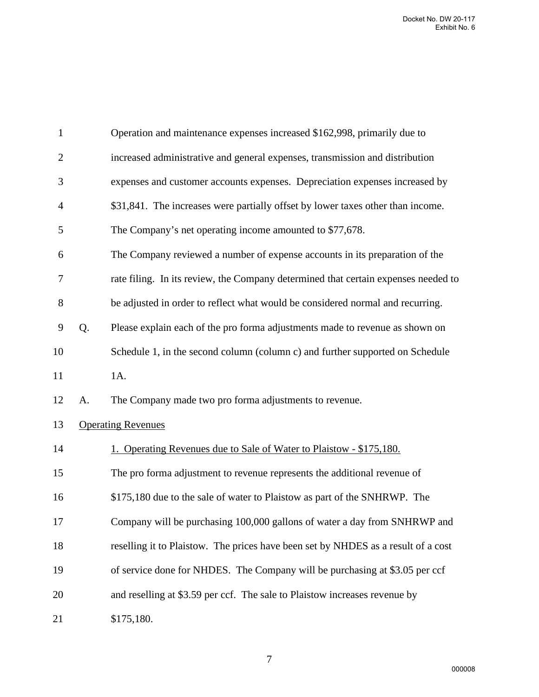| $\mathbf{1}$   |    | Operation and maintenance expenses increased \$162,998, primarily due to           |
|----------------|----|------------------------------------------------------------------------------------|
| $\overline{2}$ |    | increased administrative and general expenses, transmission and distribution       |
| 3              |    | expenses and customer accounts expenses. Depreciation expenses increased by        |
| 4              |    | \$31,841. The increases were partially offset by lower taxes other than income.    |
| 5              |    | The Company's net operating income amounted to \$77,678.                           |
| 6              |    | The Company reviewed a number of expense accounts in its preparation of the        |
| 7              |    | rate filing. In its review, the Company determined that certain expenses needed to |
| $8\,$          |    | be adjusted in order to reflect what would be considered normal and recurring.     |
| 9              | Q. | Please explain each of the pro forma adjustments made to revenue as shown on       |
| 10             |    | Schedule 1, in the second column (column c) and further supported on Schedule      |
| 11             |    | 1A.                                                                                |
| 12             | A. | The Company made two pro forma adjustments to revenue.                             |
| 13             |    | <b>Operating Revenues</b>                                                          |
| 14             |    | 1. Operating Revenues due to Sale of Water to Plaistow - \$175,180.                |
| 15             |    | The pro forma adjustment to revenue represents the additional revenue of           |
| 16             |    | \$175,180 due to the sale of water to Plaistow as part of the SNHRWP. The          |
| 17             |    | Company will be purchasing 100,000 gallons of water a day from SNHRWP and          |
| 18             |    | reselling it to Plaistow. The prices have been set by NHDES as a result of a cost  |
| 19             |    | of service done for NHDES. The Company will be purchasing at \$3.05 per ccf        |
| 20             |    | and reselling at \$3.59 per ccf. The sale to Plaistow increases revenue by         |
| 21             |    | \$175,180.                                                                         |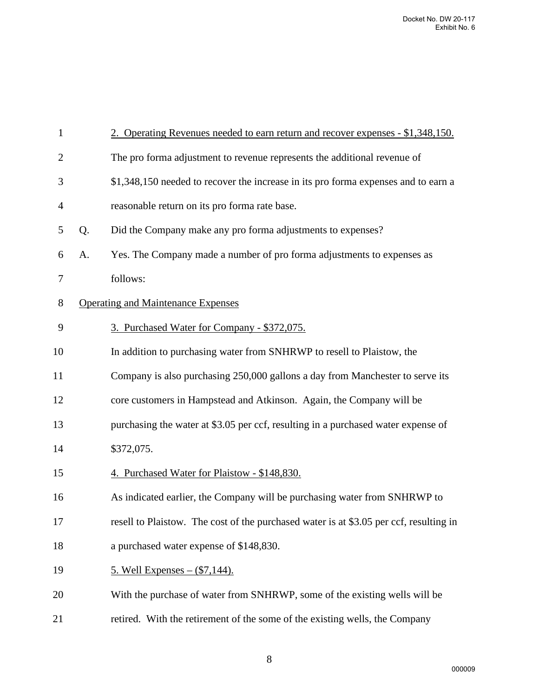| $\mathbf{1}$   |    | 2. Operating Revenues needed to earn return and recover expenses - \$1,348,150.        |
|----------------|----|----------------------------------------------------------------------------------------|
| $\overline{2}$ |    | The pro forma adjustment to revenue represents the additional revenue of               |
| 3              |    | \$1,348,150 needed to recover the increase in its pro forma expenses and to earn a     |
| 4              |    | reasonable return on its pro forma rate base.                                          |
| 5              | Q. | Did the Company make any pro forma adjustments to expenses?                            |
| 6              | A. | Yes. The Company made a number of pro forma adjustments to expenses as                 |
| 7              |    | follows:                                                                               |
| $8\,$          |    | <b>Operating and Maintenance Expenses</b>                                              |
| 9              |    | 3. Purchased Water for Company - \$372,075.                                            |
| 10             |    | In addition to purchasing water from SNHRWP to resell to Plaistow, the                 |
| 11             |    | Company is also purchasing 250,000 gallons a day from Manchester to serve its          |
| 12             |    | core customers in Hampstead and Atkinson. Again, the Company will be                   |
| 13             |    | purchasing the water at \$3.05 per ccf, resulting in a purchased water expense of      |
| 14             |    | \$372,075.                                                                             |
| 15             |    | 4. Purchased Water for Plaistow - \$148,830.                                           |
| 16             |    | As indicated earlier, the Company will be purchasing water from SNHRWP to              |
| 17             |    | resell to Plaistow. The cost of the purchased water is at \$3.05 per ccf, resulting in |
| 18             |    | a purchased water expense of \$148,830.                                                |
| 19             |    | <u>5. Well Expenses – (\$7,144).</u>                                                   |
| 20             |    | With the purchase of water from SNHRWP, some of the existing wells will be             |
| 21             |    | retired. With the retirement of the some of the existing wells, the Company            |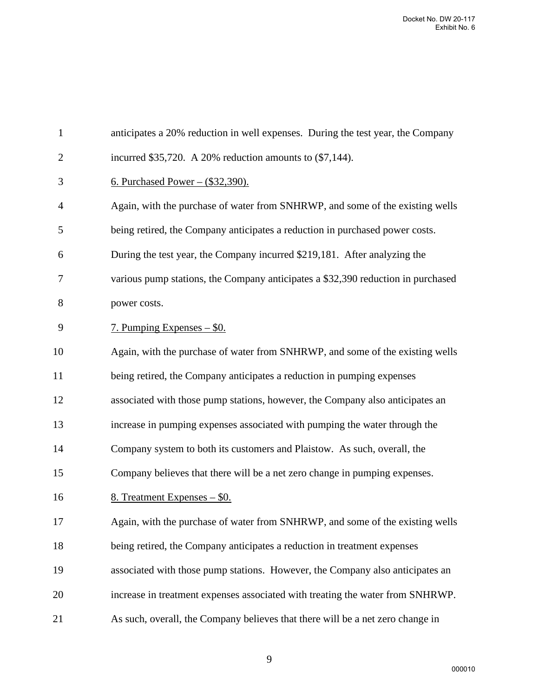| $\mathbf{1}$   | anticipates a 20% reduction in well expenses. During the test year, the Company  |
|----------------|----------------------------------------------------------------------------------|
| $\overline{2}$ | incurred $$35,720$ . A 20% reduction amounts to $(\$7,144)$ .                    |
| 3              | <u>6. Purchased Power – (\$32,390).</u>                                          |
| 4              | Again, with the purchase of water from SNHRWP, and some of the existing wells    |
| 5              | being retired, the Company anticipates a reduction in purchased power costs.     |
| 6              | During the test year, the Company incurred \$219,181. After analyzing the        |
| 7              | various pump stations, the Company anticipates a \$32,390 reduction in purchased |
| 8              | power costs.                                                                     |
| 9              | <u>7. Pumping Expenses – \$0.</u>                                                |
| 10             | Again, with the purchase of water from SNHRWP, and some of the existing wells    |
| 11             | being retired, the Company anticipates a reduction in pumping expenses           |
| 12             | associated with those pump stations, however, the Company also anticipates an    |
| 13             | increase in pumping expenses associated with pumping the water through the       |
| 14             | Company system to both its customers and Plaistow. As such, overall, the         |
| 15             | Company believes that there will be a net zero change in pumping expenses.       |
| 16             | 8. Treatment Expenses - \$0.                                                     |
| 17             | Again, with the purchase of water from SNHRWP, and some of the existing wells    |
| 18             | being retired, the Company anticipates a reduction in treatment expenses         |
| 19             | associated with those pump stations. However, the Company also anticipates an    |
| 20             | increase in treatment expenses associated with treating the water from SNHRWP.   |
| 21             | As such, overall, the Company believes that there will be a net zero change in   |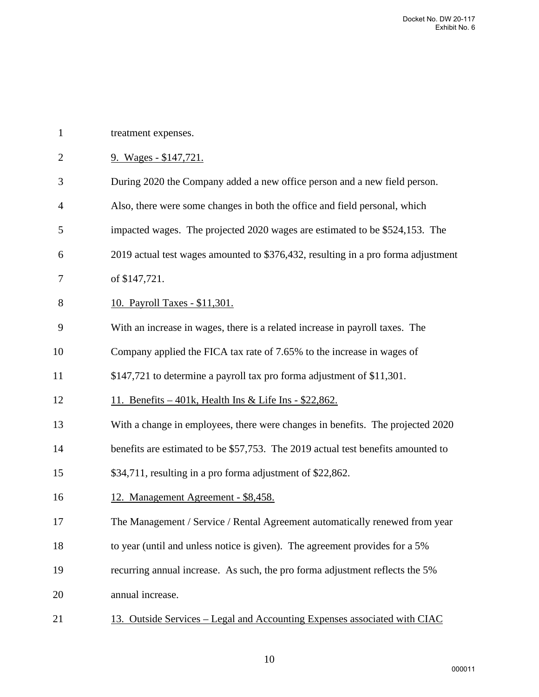| treatment expenses.                                                               |
|-----------------------------------------------------------------------------------|
| 9. Wages - \$147,721.                                                             |
| During 2020 the Company added a new office person and a new field person.         |
| Also, there were some changes in both the office and field personal, which        |
| impacted wages. The projected 2020 wages are estimated to be \$524,153. The       |
| 2019 actual test wages amounted to \$376,432, resulting in a pro forma adjustment |
| of \$147,721.                                                                     |
| 10. Payroll Taxes - \$11,301.                                                     |
| With an increase in wages, there is a related increase in payroll taxes. The      |
| Company applied the FICA tax rate of 7.65% to the increase in wages of            |
| \$147,721 to determine a payroll tax pro forma adjustment of \$11,301.            |
| <u>11. Benefits – 401k, Health Ins &amp; Life Ins - \$22,862.</u>                 |
| With a change in employees, there were changes in benefits. The projected 2020    |
| benefits are estimated to be \$57,753. The 2019 actual test benefits amounted to  |
| \$34,711, resulting in a pro forma adjustment of \$22,862.                        |
| 12. Management Agreement - \$8,458.                                               |
| The Management / Service / Rental Agreement automatically renewed from year       |
| to year (until and unless notice is given). The agreement provides for a 5%       |
| recurring annual increase. As such, the pro forma adjustment reflects the 5%      |
| annual increase.                                                                  |
| 13. Outside Services – Legal and Accounting Expenses associated with CIAC         |
|                                                                                   |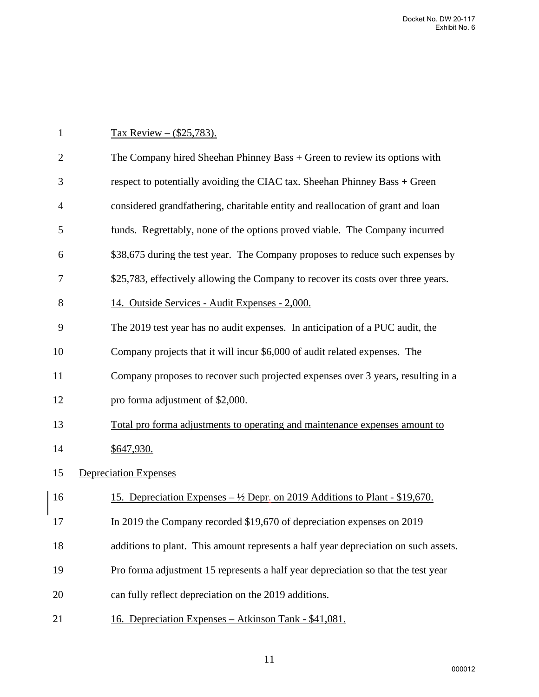## 1 Tax Review –  $($25,783)$ .

| $\overline{2}$ | The Company hired Sheehan Phinney Bass $+$ Green to review its options with                              |
|----------------|----------------------------------------------------------------------------------------------------------|
| 3              | respect to potentially avoiding the CIAC tax. Sheehan Phinney Bass + Green                               |
| $\overline{4}$ | considered grandfathering, charitable entity and reallocation of grant and loan                          |
| 5              | funds. Regrettably, none of the options proved viable. The Company incurred                              |
| 6              | \$38,675 during the test year. The Company proposes to reduce such expenses by                           |
| 7              | \$25,783, effectively allowing the Company to recover its costs over three years.                        |
| 8              | 14. Outside Services - Audit Expenses - 2,000.                                                           |
| 9              | The 2019 test year has no audit expenses. In anticipation of a PUC audit, the                            |
| 10             | Company projects that it will incur \$6,000 of audit related expenses. The                               |
| 11             | Company proposes to recover such projected expenses over 3 years, resulting in a                         |
| 12             | pro forma adjustment of \$2,000.                                                                         |
| 13             | Total pro forma adjustments to operating and maintenance expenses amount to                              |
| 14             | \$647,930.                                                                                               |
| 15             | <b>Depreciation Expenses</b>                                                                             |
| 16             | <u>15. Depreciation Expenses – <math>\frac{1}{2}</math> Depr. on 2019 Additions to Plant - \$19,670.</u> |
| 17             | In 2019 the Company recorded \$19,670 of depreciation expenses on 2019                                   |
| 18             | additions to plant. This amount represents a half year depreciation on such assets.                      |
| 19             | Pro forma adjustment 15 represents a half year depreciation so that the test year                        |
| 20             | can fully reflect depreciation on the 2019 additions.                                                    |
| 21             | <u> 16. Depreciation Expenses – Atkinson Tank - \$41,081.</u>                                            |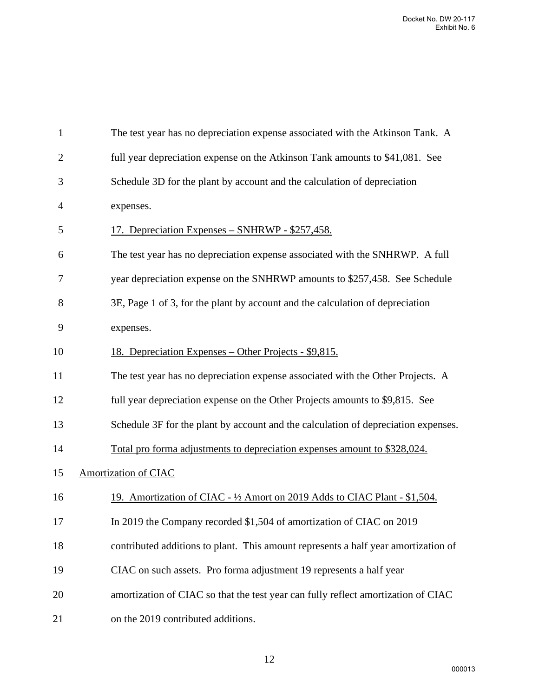| $\mathbf{1}$   | The test year has no depreciation expense associated with the Atkinson Tank. A     |
|----------------|------------------------------------------------------------------------------------|
| $\overline{2}$ | full year depreciation expense on the Atkinson Tank amounts to \$41,081. See       |
| 3              | Schedule 3D for the plant by account and the calculation of depreciation           |
| 4              | expenses.                                                                          |
| 5              | <u> 17. Depreciation Expenses – SNHRWP - \$257,458.</u>                            |
| 6              | The test year has no depreciation expense associated with the SNHRWP. A full       |
| 7              | year depreciation expense on the SNHRWP amounts to \$257,458. See Schedule         |
| 8              | 3E, Page 1 of 3, for the plant by account and the calculation of depreciation      |
| 9              | expenses.                                                                          |
| 10             | <u> 18. Depreciation Expenses – Other Projects - \$9,815.</u>                      |
| 11             | The test year has no depreciation expense associated with the Other Projects. A    |
| 12             | full year depreciation expense on the Other Projects amounts to \$9,815. See       |
| 13             | Schedule 3F for the plant by account and the calculation of depreciation expenses. |
| 14             | Total pro forma adjustments to depreciation expenses amount to \$328,024.          |
| 15             | <b>Amortization of CIAC</b>                                                        |
| 16             | 19. Amortization of CIAC - 1/2 Amort on 2019 Adds to CIAC Plant - \$1,504.         |
| 17             | In 2019 the Company recorded \$1,504 of amortization of CIAC on 2019               |
| 18             | contributed additions to plant. This amount represents a half year amortization of |
| 19             | CIAC on such assets. Pro forma adjustment 19 represents a half year                |
| 20             | amortization of CIAC so that the test year can fully reflect amortization of CIAC  |
| 21             | on the 2019 contributed additions.                                                 |
|                |                                                                                    |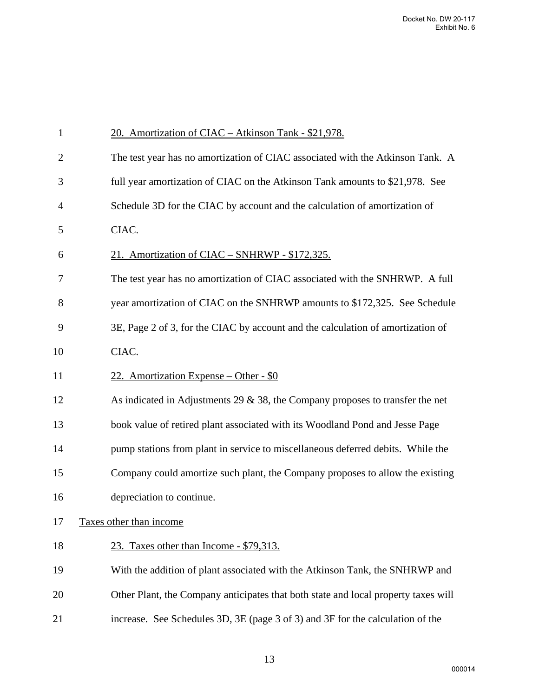| $\mathbf{1}$   | 20. Amortization of CIAC - Atkinson Tank - \$21,978.                               |
|----------------|------------------------------------------------------------------------------------|
| $\overline{2}$ | The test year has no amortization of CIAC associated with the Atkinson Tank. A     |
| 3              | full year amortization of CIAC on the Atkinson Tank amounts to \$21,978. See       |
| 4              | Schedule 3D for the CIAC by account and the calculation of amortization of         |
| 5              | CIAC.                                                                              |
| 6              | 21. Amortization of CIAC - SNHRWP - \$172,325.                                     |
| 7              | The test year has no amortization of CIAC associated with the SNHRWP. A full       |
| 8              | year amortization of CIAC on the SNHRWP amounts to \$172,325. See Schedule         |
| 9              | 3E, Page 2 of 3, for the CIAC by account and the calculation of amortization of    |
| 10             | CIAC.                                                                              |
| 11             | 22. Amortization Expense – Other - $$0$                                            |
| 12             | As indicated in Adjustments 29 $\&$ 38, the Company proposes to transfer the net   |
| 13             | book value of retired plant associated with its Woodland Pond and Jesse Page       |
| 14             | pump stations from plant in service to miscellaneous deferred debits. While the    |
| 15             | Company could amortize such plant, the Company proposes to allow the existing      |
| 16             | depreciation to continue.                                                          |
| 17             | Taxes other than income                                                            |
| 18             | 23. Taxes other than Income - \$79,313.                                            |
| 19             | With the addition of plant associated with the Atkinson Tank, the SNHRWP and       |
| 20             | Other Plant, the Company anticipates that both state and local property taxes will |
| 21             | increase. See Schedules 3D, 3E (page 3 of 3) and 3F for the calculation of the     |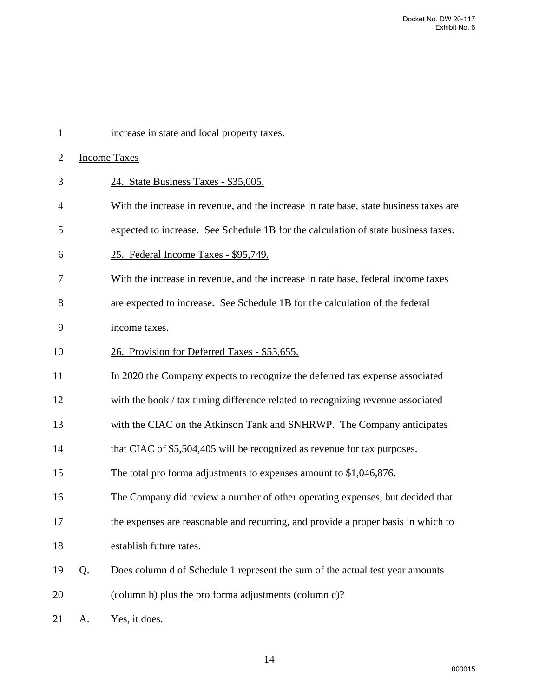| $\mathbf{1}$   |    | increase in state and local property taxes.                                           |
|----------------|----|---------------------------------------------------------------------------------------|
| $\overline{2}$ |    | <b>Income Taxes</b>                                                                   |
| 3              |    | 24. State Business Taxes - \$35,005.                                                  |
| 4              |    | With the increase in revenue, and the increase in rate base, state business taxes are |
| 5              |    | expected to increase. See Schedule 1B for the calculation of state business taxes.    |
| 6              |    | 25. Federal Income Taxes - \$95,749.                                                  |
| 7              |    | With the increase in revenue, and the increase in rate base, federal income taxes     |
| 8              |    | are expected to increase. See Schedule 1B for the calculation of the federal          |
| 9              |    | income taxes.                                                                         |
| 10             |    | 26. Provision for Deferred Taxes - \$53,655.                                          |
| 11             |    | In 2020 the Company expects to recognize the deferred tax expense associated          |
| 12             |    | with the book / tax timing difference related to recognizing revenue associated       |
| 13             |    | with the CIAC on the Atkinson Tank and SNHRWP. The Company anticipates                |
| 14             |    | that CIAC of \$5,504,405 will be recognized as revenue for tax purposes.              |
| 15             |    | The total pro forma adjustments to expenses amount to \$1,046,876.                    |
| 16             |    | The Company did review a number of other operating expenses, but decided that         |
| 17             |    | the expenses are reasonable and recurring, and provide a proper basis in which to     |
| 18             |    | establish future rates.                                                               |
| 19             | Q. | Does column d of Schedule 1 represent the sum of the actual test year amounts         |
| 20             |    | (column b) plus the pro forma adjustments (column c)?                                 |
| 21             | А. | Yes, it does.                                                                         |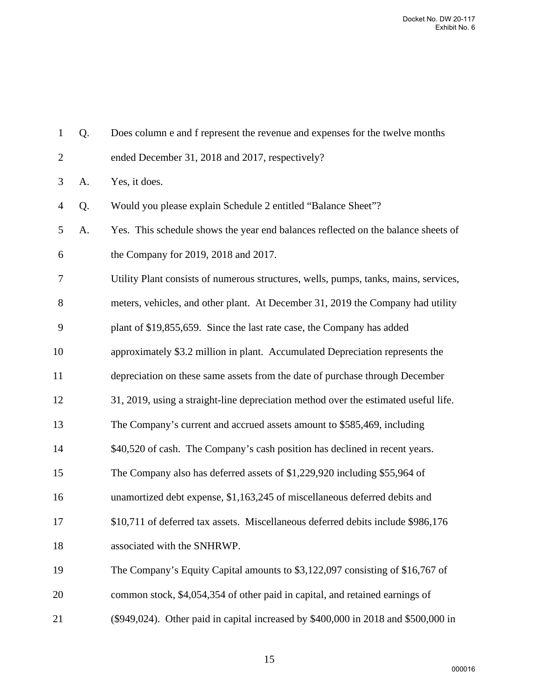| $\mathbf{1}$     | Q. | Does column e and f represent the revenue and expenses for the twelve months         |
|------------------|----|--------------------------------------------------------------------------------------|
| $\mathbf{2}$     |    | ended December 31, 2018 and 2017, respectively?                                      |
| 3                | A. | Yes, it does.                                                                        |
| $\overline{4}$   | Q. | Would you please explain Schedule 2 entitled "Balance Sheet"?                        |
| 5                | A. | Yes. This schedule shows the year end balances reflected on the balance sheets of    |
| 6                |    | the Company for 2019, 2018 and 2017.                                                 |
| $\tau$           |    | Utility Plant consists of numerous structures, wells, pumps, tanks, mains, services, |
| 8                |    | meters, vehicles, and other plant. At December 31, 2019 the Company had utility      |
| $\boldsymbol{9}$ |    | plant of \$19,855,659. Since the last rate case, the Company has added               |
| 10               |    | approximately \$3.2 million in plant. Accumulated Depreciation represents the        |
| 11               |    | depreciation on these same assets from the date of purchase through December         |
| 12               |    | 31, 2019, using a straight-line depreciation method over the estimated useful life.  |
| 13               |    | The Company's current and accrued assets amount to \$585,469, including              |
| 14               |    | \$40,520 of cash. The Company's cash position has declined in recent years.          |
| 15               |    | The Company also has deferred assets of \$1,229,920 including \$55,964 of            |
| 16               |    | unamortized debt expense, \$1,163,245 of miscellaneous deferred debits and           |
| 17               |    | \$10,711 of deferred tax assets. Miscellaneous deferred debits include \$986,176     |
| 18               |    | associated with the SNHRWP.                                                          |
| 19               |    | The Company's Equity Capital amounts to \$3,122,097 consisting of \$16,767 of        |
| 20               |    | common stock, \$4,054,354 of other paid in capital, and retained earnings of         |
| 21               |    | (\$949,024). Other paid in capital increased by \$400,000 in 2018 and \$500,000 in   |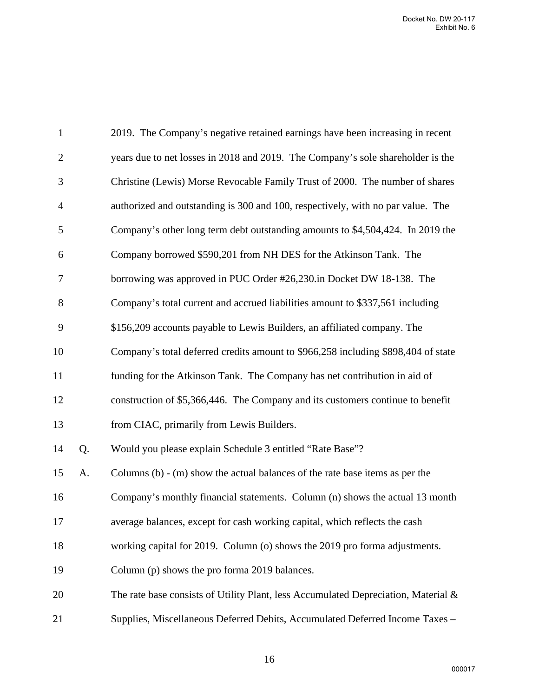| $\mathbf{1}$   |    | 2019. The Company's negative retained earnings have been increasing in recent         |
|----------------|----|---------------------------------------------------------------------------------------|
| $\overline{2}$ |    | years due to net losses in 2018 and 2019. The Company's sole shareholder is the       |
| 3              |    | Christine (Lewis) Morse Revocable Family Trust of 2000. The number of shares          |
| $\overline{4}$ |    | authorized and outstanding is 300 and 100, respectively, with no par value. The       |
| 5              |    | Company's other long term debt outstanding amounts to \$4,504,424. In 2019 the        |
| 6              |    | Company borrowed \$590,201 from NH DES for the Atkinson Tank. The                     |
| 7              |    | borrowing was approved in PUC Order #26,230.in Docket DW 18-138. The                  |
| 8              |    | Company's total current and accrued liabilities amount to \$337,561 including         |
| 9              |    | \$156,209 accounts payable to Lewis Builders, an affiliated company. The              |
| 10             |    | Company's total deferred credits amount to \$966,258 including \$898,404 of state     |
| 11             |    | funding for the Atkinson Tank. The Company has net contribution in aid of             |
| 12             |    | construction of \$5,366,446. The Company and its customers continue to benefit        |
| 13             |    | from CIAC, primarily from Lewis Builders.                                             |
| 14             | Q. | Would you please explain Schedule 3 entitled "Rate Base"?                             |
| 15             | A. | Columns $(b)$ - $(m)$ show the actual balances of the rate base items as per the      |
| 16             |    | Company's monthly financial statements. Column (n) shows the actual 13 month          |
| 17             |    | average balances, except for cash working capital, which reflects the cash            |
| 18             |    | working capital for 2019. Column (o) shows the 2019 pro forma adjustments.            |
| 19             |    | Column (p) shows the pro forma 2019 balances.                                         |
| 20             |    | The rate base consists of Utility Plant, less Accumulated Depreciation, Material $\&$ |
| 21             |    | Supplies, Miscellaneous Deferred Debits, Accumulated Deferred Income Taxes -          |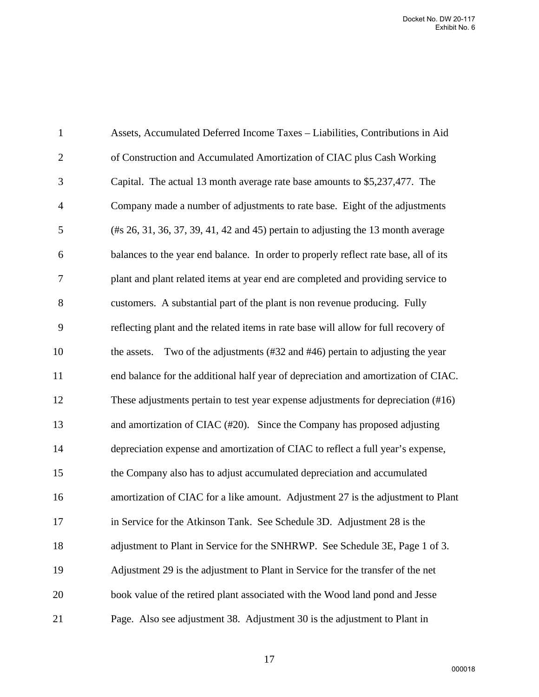| $\mathbf{1}$   | Assets, Accumulated Deferred Income Taxes - Liabilities, Contributions in Aid                        |
|----------------|------------------------------------------------------------------------------------------------------|
| $\overline{2}$ | of Construction and Accumulated Amortization of CIAC plus Cash Working                               |
| 3              | Capital. The actual 13 month average rate base amounts to \$5,237,477. The                           |
| $\overline{4}$ | Company made a number of adjustments to rate base. Eight of the adjustments                          |
| 5              | $(\text{\#s } 26, 31, 36, 37, 39, 41, 42 \text{ and } 45)$ pertain to adjusting the 13 month average |
| 6              | balances to the year end balance. In order to properly reflect rate base, all of its                 |
| $\tau$         | plant and plant related items at year end are completed and providing service to                     |
| 8              | customers. A substantial part of the plant is non revenue producing. Fully                           |
| 9              | reflecting plant and the related items in rate base will allow for full recovery of                  |
| 10             | Two of the adjustments (#32 and #46) pertain to adjusting the year<br>the assets.                    |
| 11             | end balance for the additional half year of depreciation and amortization of CIAC.                   |
| 12             | These adjustments pertain to test year expense adjustments for depreciation (#16)                    |
| 13             | and amortization of CIAC (#20). Since the Company has proposed adjusting                             |
| 14             | depreciation expense and amortization of CIAC to reflect a full year's expense,                      |
| 15             | the Company also has to adjust accumulated depreciation and accumulated                              |
| 16             | amortization of CIAC for a like amount. Adjustment 27 is the adjustment to Plant                     |
| 17             | in Service for the Atkinson Tank. See Schedule 3D. Adjustment 28 is the                              |
| 18             | adjustment to Plant in Service for the SNHRWP. See Schedule 3E, Page 1 of 3.                         |
| 19             | Adjustment 29 is the adjustment to Plant in Service for the transfer of the net                      |
| 20             | book value of the retired plant associated with the Wood land pond and Jesse                         |
| 21             | Page. Also see adjustment 38. Adjustment 30 is the adjustment to Plant in                            |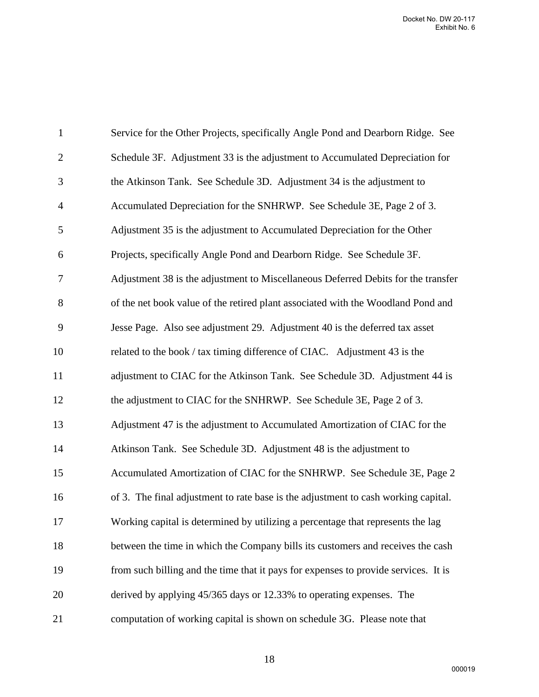| $\mathbf{1}$   | Service for the Other Projects, specifically Angle Pond and Dearborn Ridge. See     |
|----------------|-------------------------------------------------------------------------------------|
| $\mathbf{2}$   | Schedule 3F. Adjustment 33 is the adjustment to Accumulated Depreciation for        |
| 3              | the Atkinson Tank. See Schedule 3D. Adjustment 34 is the adjustment to              |
| $\overline{4}$ | Accumulated Depreciation for the SNHRWP. See Schedule 3E, Page 2 of 3.              |
| 5              | Adjustment 35 is the adjustment to Accumulated Depreciation for the Other           |
| 6              | Projects, specifically Angle Pond and Dearborn Ridge. See Schedule 3F.              |
| 7              | Adjustment 38 is the adjustment to Miscellaneous Deferred Debits for the transfer   |
| 8              | of the net book value of the retired plant associated with the Woodland Pond and    |
| 9              | Jesse Page. Also see adjustment 29. Adjustment 40 is the deferred tax asset         |
| 10             | related to the book / tax timing difference of CIAC. Adjustment 43 is the           |
| 11             | adjustment to CIAC for the Atkinson Tank. See Schedule 3D. Adjustment 44 is         |
| 12             | the adjustment to CIAC for the SNHRWP. See Schedule 3E, Page 2 of 3.                |
| 13             | Adjustment 47 is the adjustment to Accumulated Amortization of CIAC for the         |
| 14             | Atkinson Tank. See Schedule 3D. Adjustment 48 is the adjustment to                  |
| 15             | Accumulated Amortization of CIAC for the SNHRWP. See Schedule 3E, Page 2            |
| 16             | of 3. The final adjustment to rate base is the adjustment to cash working capital.  |
| 17             | Working capital is determined by utilizing a percentage that represents the lag     |
| 18             | between the time in which the Company bills its customers and receives the cash     |
| 19             | from such billing and the time that it pays for expenses to provide services. It is |
| 20             | derived by applying 45/365 days or 12.33% to operating expenses. The                |
| 21             | computation of working capital is shown on schedule 3G. Please note that            |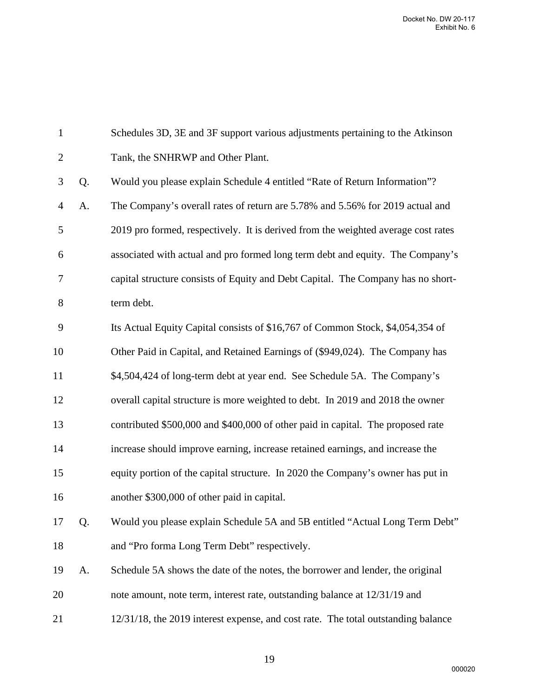| $\mathbf{1}$   |    | Schedules 3D, 3E and 3F support various adjustments pertaining to the Atkinson    |
|----------------|----|-----------------------------------------------------------------------------------|
| $\overline{2}$ |    | Tank, the SNHRWP and Other Plant.                                                 |
| 3              | Q. | Would you please explain Schedule 4 entitled "Rate of Return Information"?        |
| $\overline{4}$ | A. | The Company's overall rates of return are 5.78% and 5.56% for 2019 actual and     |
| 5              |    | 2019 pro formed, respectively. It is derived from the weighted average cost rates |
| 6              |    | associated with actual and pro formed long term debt and equity. The Company's    |
| 7              |    | capital structure consists of Equity and Debt Capital. The Company has no short-  |
| 8              |    | term debt.                                                                        |
| 9              |    | Its Actual Equity Capital consists of \$16,767 of Common Stock, \$4,054,354 of    |
| 10             |    | Other Paid in Capital, and Retained Earnings of (\$949,024). The Company has      |
| 11             |    | \$4,504,424 of long-term debt at year end. See Schedule 5A. The Company's         |
| 12             |    | overall capital structure is more weighted to debt. In 2019 and 2018 the owner    |
| 13             |    | contributed \$500,000 and \$400,000 of other paid in capital. The proposed rate   |
| 14             |    | increase should improve earning, increase retained earnings, and increase the     |
| 15             |    | equity portion of the capital structure. In 2020 the Company's owner has put in   |
| 16             |    | another \$300,000 of other paid in capital.                                       |
| 17             | Q. | Would you please explain Schedule 5A and 5B entitled "Actual Long Term Debt"      |
| 18             |    | and "Pro forma Long Term Debt" respectively.                                      |
| 19             | A. | Schedule 5A shows the date of the notes, the borrower and lender, the original    |
| 20             |    | note amount, note term, interest rate, outstanding balance at 12/31/19 and        |
| 21             |    | 12/31/18, the 2019 interest expense, and cost rate. The total outstanding balance |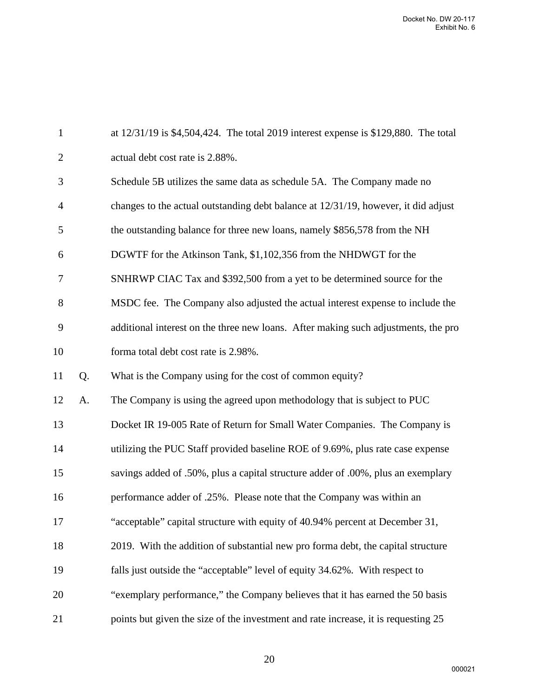| $\mathbf{1}$   |    | at $12/31/19$ is \$4,504,424. The total 2019 interest expense is \$129,880. The total |
|----------------|----|---------------------------------------------------------------------------------------|
| $\overline{2}$ |    | actual debt cost rate is 2.88%.                                                       |
| 3              |    | Schedule 5B utilizes the same data as schedule 5A. The Company made no                |
| 4              |    | changes to the actual outstanding debt balance at 12/31/19, however, it did adjust    |
| 5              |    | the outstanding balance for three new loans, namely \$856,578 from the NH             |
| 6              |    | DGWTF for the Atkinson Tank, \$1,102,356 from the NHDWGT for the                      |
| 7              |    | SNHRWP CIAC Tax and \$392,500 from a yet to be determined source for the              |
| 8              |    | MSDC fee. The Company also adjusted the actual interest expense to include the        |
| 9              |    | additional interest on the three new loans. After making such adjustments, the pro    |
| 10             |    | forma total debt cost rate is 2.98%.                                                  |
| 11             | Q. | What is the Company using for the cost of common equity?                              |
| 12             | A. | The Company is using the agreed upon methodology that is subject to PUC               |
| 13             |    | Docket IR 19-005 Rate of Return for Small Water Companies. The Company is             |
| 14             |    | utilizing the PUC Staff provided baseline ROE of 9.69%, plus rate case expense        |
| 15             |    | savings added of .50%, plus a capital structure adder of .00%, plus an exemplary      |
| 16             |    | performance adder of .25%. Please note that the Company was within an                 |
| 17             |    | "acceptable" capital structure with equity of 40.94% percent at December 31,          |
| 18             |    | 2019. With the addition of substantial new pro forma debt, the capital structure      |
| 19             |    | falls just outside the "acceptable" level of equity 34.62%. With respect to           |
| 20             |    | "exemplary performance," the Company believes that it has earned the 50 basis         |
| 21             |    | points but given the size of the investment and rate increase, it is requesting 25    |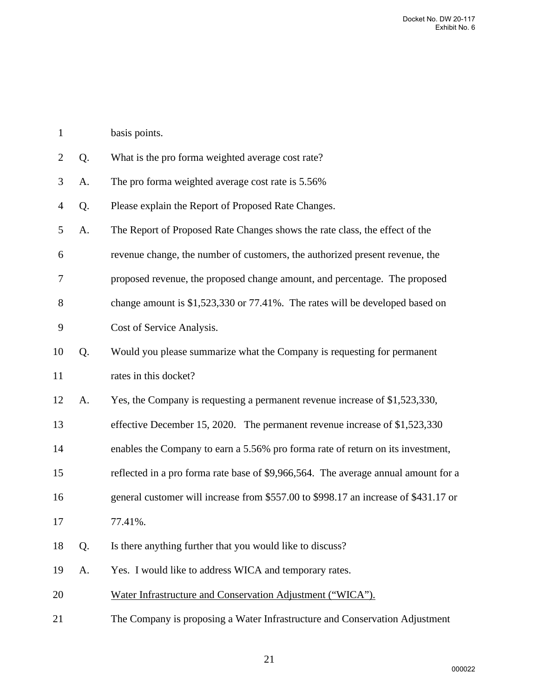| $\mathbf{1}$   |    | basis points.                                                                       |
|----------------|----|-------------------------------------------------------------------------------------|
| $\overline{2}$ | Q. | What is the pro forma weighted average cost rate?                                   |
| 3              | A. | The pro forma weighted average cost rate is 5.56%                                   |
| 4              | Q. | Please explain the Report of Proposed Rate Changes.                                 |
| 5              | A. | The Report of Proposed Rate Changes shows the rate class, the effect of the         |
| 6              |    | revenue change, the number of customers, the authorized present revenue, the        |
| 7              |    | proposed revenue, the proposed change amount, and percentage. The proposed          |
| 8              |    | change amount is $$1,523,330$ or 77.41%. The rates will be developed based on       |
| 9              |    | Cost of Service Analysis.                                                           |
| 10             | Q. | Would you please summarize what the Company is requesting for permanent             |
| 11             |    | rates in this docket?                                                               |
| 12             | A. | Yes, the Company is requesting a permanent revenue increase of \$1,523,330,         |
| 13             |    | effective December 15, 2020. The permanent revenue increase of \$1,523,330          |
| 14             |    | enables the Company to earn a 5.56% pro forma rate of return on its investment,     |
| 15             |    | reflected in a pro forma rate base of \$9,966,564. The average annual amount for a  |
| 16             |    | general customer will increase from \$557.00 to \$998.17 an increase of \$431.17 or |
| 17             |    | 77.41%.                                                                             |
| 18             | Q. | Is there anything further that you would like to discuss?                           |
| 19             | A. | Yes. I would like to address WICA and temporary rates.                              |
| 20             |    | Water Infrastructure and Conservation Adjustment ("WICA").                          |
| 21             |    | The Company is proposing a Water Infrastructure and Conservation Adjustment         |
|                |    |                                                                                     |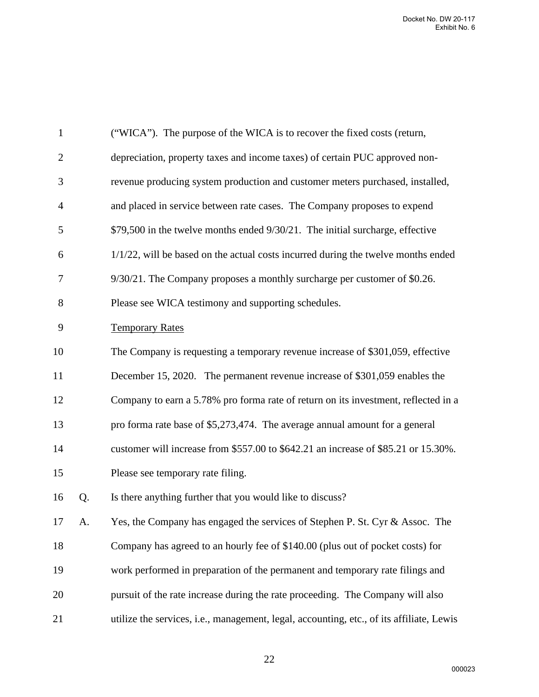| $\mathbf{1}$   |    | ("WICA"). The purpose of the WICA is to recover the fixed costs (return,                 |
|----------------|----|------------------------------------------------------------------------------------------|
| $\overline{2}$ |    | depreciation, property taxes and income taxes) of certain PUC approved non-              |
| 3              |    | revenue producing system production and customer meters purchased, installed,            |
| $\overline{4}$ |    | and placed in service between rate cases. The Company proposes to expend                 |
| 5              |    | \$79,500 in the twelve months ended 9/30/21. The initial surcharge, effective            |
| 6              |    | $1/1/22$ , will be based on the actual costs incurred during the twelve months ended     |
| 7              |    | 9/30/21. The Company proposes a monthly surcharge per customer of \$0.26.                |
| 8              |    | Please see WICA testimony and supporting schedules.                                      |
| 9              |    | <b>Temporary Rates</b>                                                                   |
| 10             |    | The Company is requesting a temporary revenue increase of \$301,059, effective           |
| 11             |    | December 15, 2020. The permanent revenue increase of \$301,059 enables the               |
| 12             |    | Company to earn a 5.78% pro forma rate of return on its investment, reflected in a       |
| 13             |    | pro forma rate base of \$5,273,474. The average annual amount for a general              |
| 14             |    | customer will increase from \$557.00 to \$642.21 an increase of \$85.21 or 15.30%.       |
| 15             |    | Please see temporary rate filing.                                                        |
| 16             | Q. | Is there anything further that you would like to discuss?                                |
| 17             | A. | Yes, the Company has engaged the services of Stephen P. St. Cyr & Assoc. The             |
| 18             |    | Company has agreed to an hourly fee of \$140.00 (plus out of pocket costs) for           |
| 19             |    | work performed in preparation of the permanent and temporary rate filings and            |
| 20             |    | pursuit of the rate increase during the rate proceeding. The Company will also           |
| 21             |    | utilize the services, i.e., management, legal, accounting, etc., of its affiliate, Lewis |